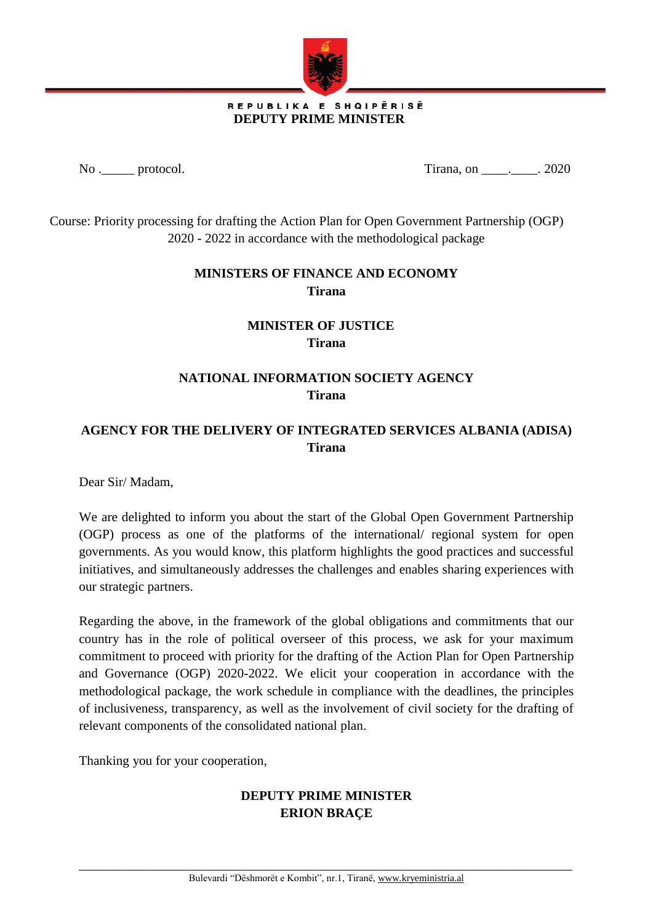

#### REPUBLIKA E SHQIPËRISË  **DEPUTY PRIME MINISTER**

No . <u>\_\_\_\_</u> protocol. Tirana, on \_\_\_\_\_\_. 2020

Course: Priority processing for drafting the Action Plan for Open Government Partnership (OGP) 2020 - 2022 in accordance with the methodological package

#### **MINISTERS OF FINANCE AND ECONOMY Tirana**

## **MINISTER OF JUSTICE Tirana**

## **NATIONAL INFORMATION SOCIETY AGENCY Tirana**

#### **AGENCY FOR THE DELIVERY OF INTEGRATED SERVICES ALBANIA (ADISA) Tirana**

Dear Sir/ Madam,

We are delighted to inform you about the start of the Global Open Government Partnership (OGP) process as one of the platforms of the international/ regional system for open governments. As you would know, this platform highlights the good practices and successful initiatives, and simultaneously addresses the challenges and enables sharing experiences with our strategic partners.

Regarding the above, in the framework of the global obligations and commitments that our country has in the role of political overseer of this process, we ask for your maximum commitment to proceed with priority for the drafting of the Action Plan for Open Partnership and Governance (OGP) 2020-2022. We elicit your cooperation in accordance with the methodological package, the work schedule in compliance with the deadlines, the principles of inclusiveness, transparency, as well as the involvement of civil society for the drafting of relevant components of the consolidated national plan.

Thanking you for your cooperation,

# **DEPUTY PRIME MINISTER ERION BRAÇE**